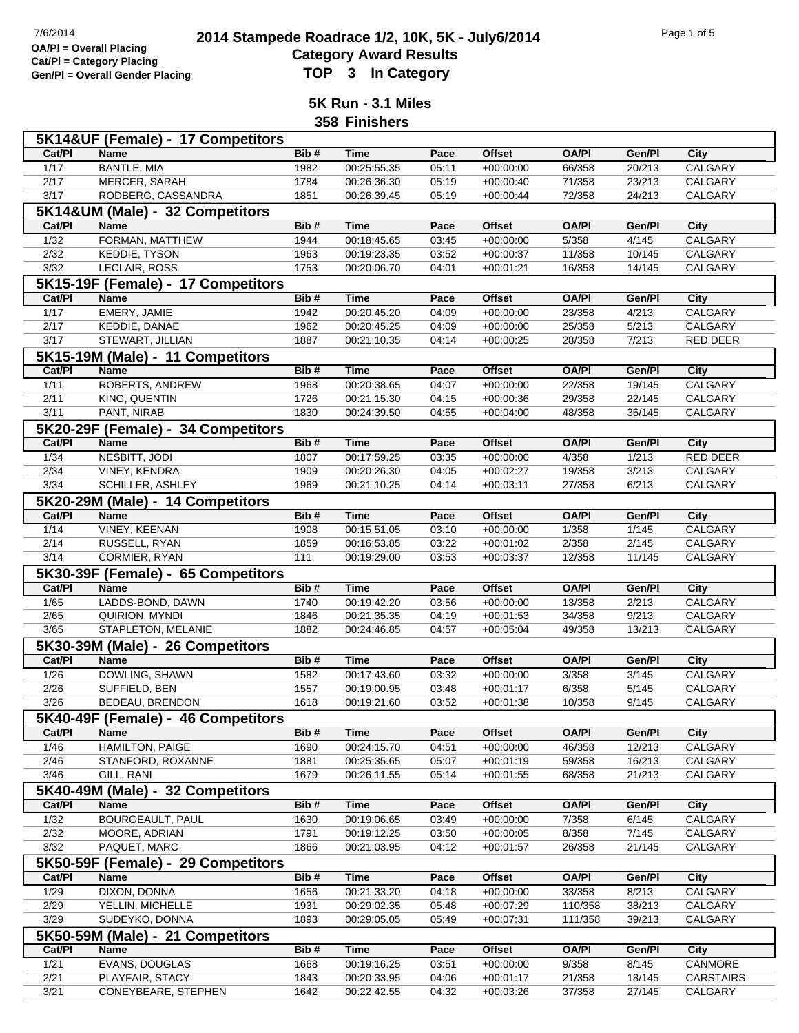## **2014 Stampede Roadrace 1/2, 10K, 5K - July6/2014** Page 1 of 5<br> **Cotogory Award Boaulto**<br> **Cotogory Award Boaulto Category Award Results Gen/Pl = Overall Gender Placing TOP 3 In Category**

**5K Run - 3.1 Miles**

**358 Finishers**

|                        | 5K14&UF (Female) - 17 Competitors      |              |                            |                |                            |                  |                  |                             |
|------------------------|----------------------------------------|--------------|----------------------------|----------------|----------------------------|------------------|------------------|-----------------------------|
| Cat/Pl                 | <b>Name</b>                            | Bib#         | <b>Time</b>                | Pace           | <b>Offset</b>              | <b>OA/PI</b>     | Gen/Pl           | City                        |
| 1/17                   | <b>BANTLE, MIA</b>                     | 1982         | 00:25:55.35                | 05:11          | $+00:00:00$                | 66/358           | 20/213           | <b>CALGARY</b>              |
| 2/17                   | MERCER, SARAH                          | 1784         | 00:26:36.30                | 05:19          | $+00:00:40$                | 71/358           | 23/213           | <b>CALGARY</b>              |
| 3/17                   | RODBERG, CASSANDRA                     | 1851         | 00:26:39.45                | 05:19          | $+00:00:44$                | 72/358           | 24/213           | CALGARY                     |
|                        | 5K14&UM (Male) - 32 Competitors        |              |                            |                |                            |                  |                  |                             |
| Cat/PI                 | <b>Name</b>                            | Bib#         | Time                       | Pace           | <b>Offset</b>              | <b>OA/PI</b>     | Gen/Pl           | City                        |
| $\frac{1}{32}$         | FORMAN, MATTHEW                        | 1944         | 00:18:45.65                | 03:45          | $+00:00:00$                | 5/358            | 4/145            | CALGARY                     |
| 2/32                   | <b>KEDDIE, TYSON</b>                   | 1963         | 00:19:23.35                | 03:52          | $+00:00:37$                | 11/358           | 10/145           | <b>CALGARY</b>              |
| $\frac{3}{32}$         | LECLAIR, ROSS                          | 1753         | 00:20:06.70                | 04:01          | $+00:01:21$                | 16/358           | 14/145           | CALGARY                     |
|                        | 5K15-19F (Female) - 17 Competitors     |              |                            |                |                            |                  |                  |                             |
| Cat/PI                 | Name                                   | Bib#         | <b>Time</b>                | Pace           | <b>Offset</b>              | <b>OA/PI</b>     | Gen/Pl           | <b>City</b>                 |
| 1/17                   | EMERY, JAMIE                           | 1942         | 00:20:45.20                | 04:09          | $+00:00:00$                | 23/358           | 4/213            | CALGARY                     |
| 2/17                   | KEDDIE, DANAE                          | 1962         | 00:20:45.25                | 04:09          | $+00:00:00$                | 25/358           | 5/213            | CALGARY                     |
| 3/17                   | STEWART, JILLIAN                       | 1887         | 00:21:10.35                | 04:14          | $+00:00:25$                | 28/358           | 7/213            | RED DEER                    |
|                        | 5K15-19M (Male) - 11 Competitors       |              |                            |                |                            |                  |                  |                             |
| Cat/PI                 | Name                                   | Bib#         | <b>Time</b>                | Pace           | <b>Offset</b>              | <b>OA/PI</b>     | Gen/Pl           | <b>City</b>                 |
| 1/11                   | ROBERTS, ANDREW                        | 1968         | 00:20:38.65                | 04:07          | $+00:00:00$                | 22/358           | 19/145           | CALGARY                     |
| 2/11                   | KING, QUENTIN                          | 1726         | 00:21:15.30                | 04:15          | $+00:00:36$                | 29/358           | 22/145           | CALGARY                     |
| 3/11                   | PANT, NIRAB                            | 1830         | 00:24:39.50                | 04:55          | $+00:04:00$                | 48/358           | 36/145           | CALGARY                     |
|                        |                                        |              |                            |                |                            |                  |                  |                             |
|                        | 5K20-29F (Female) - 34 Competitors     |              |                            |                |                            |                  |                  |                             |
| Cat/PI                 | <b>Name</b>                            | Bib#         | <b>Time</b>                | Pace           | <b>Offset</b>              | <b>OA/PI</b>     | Gen/Pl           | <b>City</b>                 |
| 1/34                   | NESBITT, JODI                          | 1807         | 00:17:59.25                | 03:35          | $+00:00:00$                | 4/358            | 1/213            | <b>RED DEER</b>             |
| 2/34                   | VINEY, KENDRA                          | 1909         | 00:20:26.30                | 04:05          | $+00:02:27$                | 19/358           | 3/213            | CALGARY                     |
| 3/34                   | SCHILLER, ASHLEY                       | 1969         | 00:21:10.25                | 04:14          | $+00:03:11$                | 27/358           | 6/213            | CALGARY                     |
|                        | 5K20-29M (Male) - 14 Competitors       |              |                            |                |                            |                  |                  |                             |
| Cat/PI                 | <b>Name</b>                            | Bib#         | <b>Time</b>                | Pace           | <b>Offset</b>              | <b>OA/PI</b>     | Gen/Pl           | City                        |
| 1/14                   | <b>VINEY, KEENAN</b>                   | 1908         | 00:15:51.05                | 03:10          | $+00:00:00$                | 1/358            | 1/145            | <b>CALGARY</b>              |
| 2/14                   | RUSSELL, RYAN                          | 1859         | 00:16:53.85                | 03:22          | $+00:01:02$                | 2/358            | 2/145            | CALGARY                     |
| 3/14                   | CORMIER, RYAN                          | 111          | 00:19:29.00                | 03:53          | $+00:03:37$                | 12/358           | 11/145           | CALGARY                     |
|                        | 5K30-39F (Female) - 65 Competitors     |              |                            |                |                            |                  |                  |                             |
| Cat/PI                 | <b>Name</b>                            | Bib#         | <b>Time</b>                | Pace           | <b>Offset</b>              | <b>OA/PI</b>     | Gen/Pl           | City                        |
| $\frac{1}{65}$         | LADDS-BOND, DAWN                       | 1740         | 00:19:42.20                | 03:56          | $+00:00:00$                | 13/358           | 2/213            | <b>CALGARY</b>              |
| 2/65                   | QUIRION, MYNDI                         | 1846         | 00:21:35.35                | 04:19          | $+00:01:53$                | 34/358           | 9/213            | CALGARY                     |
| 3/65                   | STAPLETON, MELANIE                     | 1882         | 00:24:46.85                | 04:57          | $+00:05:04$                | 49/358           | 13/213           | CALGARY                     |
|                        | 5K30-39M (Male) - 26 Competitors       |              |                            |                |                            |                  |                  |                             |
| Cat/PI                 | Name                                   | Bib#         | <b>Time</b>                | Pace           | <b>Offset</b>              | <b>OA/PI</b>     | Gen/Pl           | <b>City</b>                 |
| $\frac{1}{26}$         | DOWLING, SHAWN                         | 1582         | 00:17:43.60                | 03:32          | $+00:00:00$                | 3/358            | 3/145            | <b>CALGARY</b>              |
| 2/26                   | SUFFIELD, BEN                          | 1557         | 00:19:00.95                | 03:48          | $+00:01:17$                | 6/358            | 5/145            | CALGARY                     |
| 3/26                   | BEDEAU, BRENDON                        | 1618         | 00:19:21.60                | 03:52          | $+00:01:38$                | 10/358           | 9/145            | CALGARY                     |
|                        | 5K40-49F (Female) - 46 Competitors     |              |                            |                |                            |                  |                  |                             |
| Cat/PI                 | Name                                   | Bib#         | <b>Time</b>                | Pace           | Offset                     | <b>OA/PI</b>     | Gen/Pl           | City                        |
| $\frac{1}{46}$         | <b>HAMILTON, PAIGE</b>                 | 1690         | 00:24:15.70                | 04:51          | $+00:00:00$                | 46/358           | 12/213           | <b>CALGARY</b>              |
| 2/46                   | STANFORD, ROXANNE                      | 1881         | 00:25:35.65                | 05:07          | $+00:01:19$                | 59/358           | 16/213           | CALGARY                     |
| 3/46                   | GILL, RANI                             | 1679         | 00:26:11.55                | 05:14          | $+00:01:55$                | 68/358           | 21/213           | CALGARY                     |
|                        | 5K40-49M (Male) - 32 Competitors       |              |                            |                |                            |                  |                  |                             |
| Cat/PI                 | Name                                   | Bib#         | Time                       | Pace           | <b>Offset</b>              | <b>OA/PI</b>     | Gen/Pl           | City                        |
| $\frac{1}{32}$         | <b>BOURGEAULT, PAUL</b>                | 1630         | 00:19:06.65                | 03:49          | $+00:00:00$                | 7/358            | 6/145            | <b>CALGARY</b>              |
| 2/32                   | MOORE, ADRIAN                          | 1791         | 00:19:12.25                | 03:50          | $+00:00:05$                | 8/358            | 7/145            | CALGARY                     |
| $\frac{3}{32}$         | PAQUET, MARC                           | 1866         | 00:21:03.95                | 04:12          | $+00:01:57$                | 26/358           | 21/145           | CALGARY                     |
|                        | 5K50-59F (Female) - 29 Competitors     |              |                            |                |                            |                  |                  |                             |
| Cat/PI                 | <b>Name</b>                            | Bib#         | <b>Time</b>                | Pace           | Offset                     | <b>OA/PI</b>     | Gen/Pl           | City                        |
| 1/29                   | <b>DIXON, DONNA</b>                    | 1656         | 00:21:33.20                | 04:18          | $+00:00:00$                | 33/358           | 8/213            | <b>CALGARY</b>              |
| 2/29                   | YELLIN, MICHELLE                       | 1931         | 00:29:02.35                | 05:48          | $+00:07:29$                | 110/358          | 38/213           | CALGARY                     |
| 3/29                   | SUDEYKO, DONNA                         | 1893         | 00:29:05.05                | 05:49          | $+00:07:31$                | 111/358          | 39/213           | CALGARY                     |
|                        | 5K50-59M (Male) - 21 Competitors       |              |                            |                |                            |                  |                  |                             |
| Cat/PI                 |                                        |              |                            |                |                            |                  |                  |                             |
|                        |                                        |              |                            |                |                            |                  |                  |                             |
|                        | Name                                   | Bib#         | <b>Time</b>                | Pace           | <b>Offset</b>              | <b>OA/PI</b>     | Gen/Pl           | City                        |
| $\frac{1}{21}$         | EVANS, DOUGLAS                         | 1668         | 00:19:16.25                | 03:51          | $+00:00:00$                | 9/358            | 8/145            | <b>CANMORE</b>              |
| 2/21<br>$\frac{3}{21}$ | PLAYFAIR, STACY<br>CONEYBEARE, STEPHEN | 1843<br>1642 | 00:20:33.95<br>00:22:42.55 | 04:06<br>04:32 | $+00:01:17$<br>$+00:03:26$ | 21/358<br>37/358 | 18/145<br>27/145 | <b>CARSTAIRS</b><br>CALGARY |